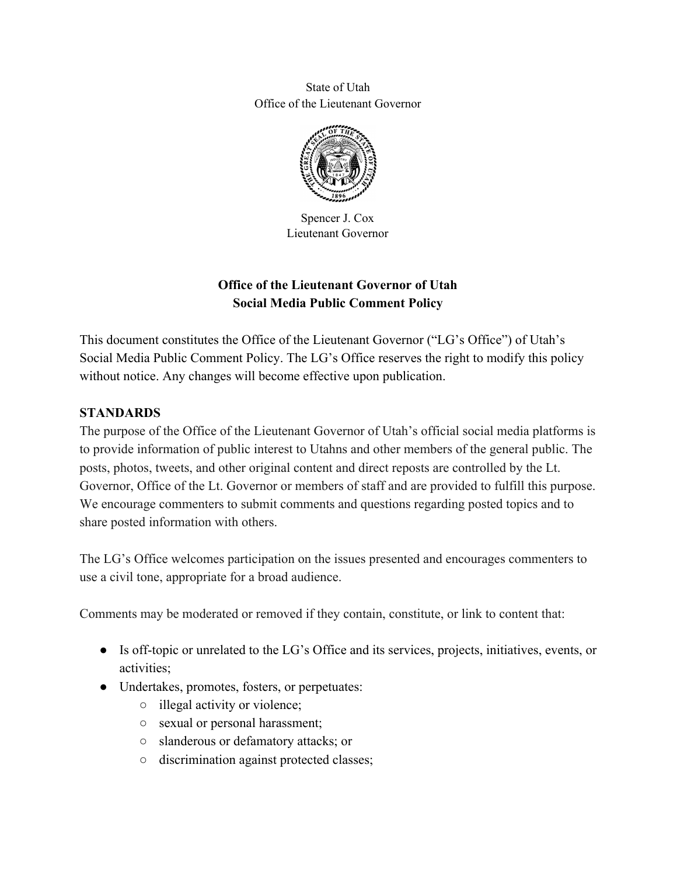State of Utah Office of the Lieutenant Governor



Spencer J. Cox Lieutenant Governor

# **Office of the Lieutenant Governor of Utah Social Media Public Comment Policy**

This document constitutes the Office of the Lieutenant Governor ("LG's Office") of Utah's Social Media Public Comment Policy. The LG's Office reserves the right to modify this policy without notice. Any changes will become effective upon publication.

#### **STANDARDS**

The purpose of the Office of the Lieutenant Governor of Utah's official social media platforms is to provide information of public interest to Utahns and other members of the general public. The posts, photos, tweets, and other original content and direct reposts are controlled by the Lt. Governor, Office of the Lt. Governor or members of staff and are provided to fulfill this purpose. We encourage commenters to submit comments and questions regarding posted topics and to share posted information with others.

The LG's Office welcomes participation on the issues presented and encourages commenters to use a civil tone, appropriate for a broad audience.

Comments may be moderated or removed if they contain, constitute, or link to content that:

- Is off-topic or unrelated to the LG's Office and its services, projects, initiatives, events, or activities;
- Undertakes, promotes, fosters, or perpetuates:
	- illegal activity or violence;
	- sexual or personal harassment;
	- slanderous or defamatory attacks; or
	- discrimination against protected classes;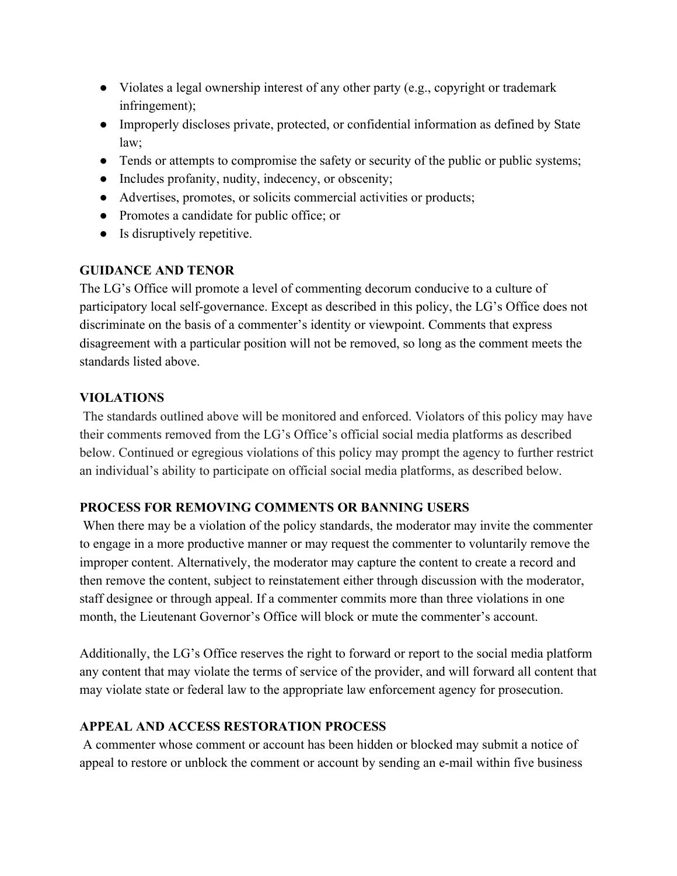- Violates a legal ownership interest of any other party (e.g., copyright or trademark infringement);
- Improperly discloses private, protected, or confidential information as defined by State law;
- Tends or attempts to compromise the safety or security of the public or public systems;
- Includes profanity, nudity, indecency, or obscenity;
- Advertises, promotes, or solicits commercial activities or products;
- Promotes a candidate for public office; or
- Is disruptively repetitive.

### **GUIDANCE AND TENOR**

The LG's Office will promote a level of commenting decorum conducive to a culture of participatory local self-governance. Except as described in this policy, the LG's Office does not discriminate on the basis of a commenter's identity or viewpoint. Comments that express disagreement with a particular position will not be removed, so long as the comment meets the standards listed above.

### **VIOLATIONS**

 The standards outlined above will be monitored and enforced. Violators of this policy may have their comments removed from the LG's Office's official social media platforms as described below. Continued or egregious violations of this policy may prompt the agency to further restrict an individual's ability to participate on official social media platforms, as described below.

## **PROCESS FOR REMOVING COMMENTS OR BANNING USERS**

 When there may be a violation of the policy standards, the moderator may invite the commenter to engage in a more productive manner or may request the commenter to voluntarily remove the improper content. Alternatively, the moderator may capture the content to create a record and then remove the content, subject to reinstatement either through discussion with the moderator, staff designee or through appeal. If a commenter commits more than three violations in one month, the Lieutenant Governor's Office will block or mute the commenter's account.

Additionally, the LG's Office reserves the right to forward or report to the social media platform any content that may violate the terms of service of the provider, and will forward all content that may violate state or federal law to the appropriate law enforcement agency for prosecution.

## **APPEAL AND ACCESS RESTORATION PROCESS**

 A commenter whose comment or account has been hidden or blocked may submit a notice of appeal to restore or unblock the comment or account by sending an e-mail within five business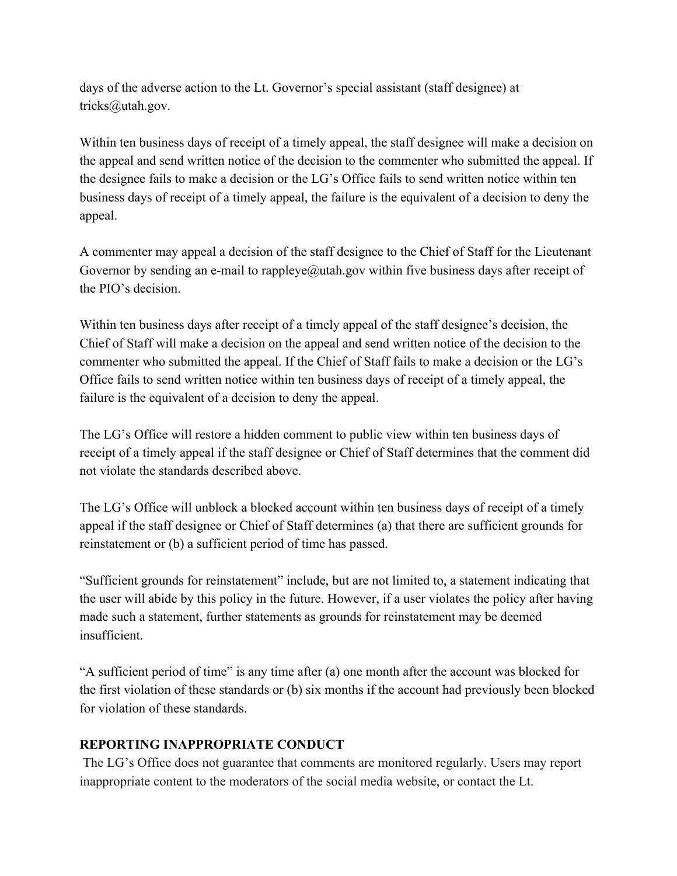days of the adverse action to the Lt. Governor's special assistant (staff designee) at tricks@utah.gov.

Within ten business days of receipt of a timely appeal, the staff designee will make a decision on the appeal and send written notice of the decision to the commenter who submitted the appeal. If the designee fails to make a decision or the LG's Office fails to send written notice within ten business days of receipt of a timely appeal, the failure is the equivalent of a decision to deny the appeal.

A commenter may appeal a decision of the staff designee to the Chief of Staff for the Lieutenant Governor by sending an e-mail to rappleye@utah.gov within five business days after receipt of the PIO's decision.

Within ten business days after receipt of a timely appeal of the staff designee's decision, the Chief of Staff will make a decision on the appeal and send written notice of the decision to the commenter who submitted the appeal. If the Chief of Staff fails to make a decision or the LG's Office fails to send written notice within ten business days of receipt of a timely appeal, the failure is the equivalent of a decision to deny the appeal.

The LG's Office will restore a hidden comment to public view within ten business days of receipt of a timely appeal if the staff designee or Chief of Staff determines that the comment did not violate the standards described above.

The LG's Office will unblock a blocked account within ten business days of receipt of a timely appeal if the staff designee or Chief of Staff determines (a) that there are sufficient grounds for reinstatement or (b) a sufficient period of time has passed.

"Sufficient grounds for reinstatement" include, but are not limited to, a statement indicating that the user will abide by this policy in the future. However, if a user violates the policy after having made such a statement, further statements as grounds for reinstatement may be deemed insufficient.

"A sufficient period of time" is any time after (a) one month after the account was blocked for the first violation of these standards or (b) six months if the account had previously been blocked for violation of these standards.

#### **REPORTING INAPPROPRIATE CONDUCT**

 The LG's Office does not guarantee that comments are monitored regularly. Users may report inappropriate content to the moderators of the social media website, or contact the Lt.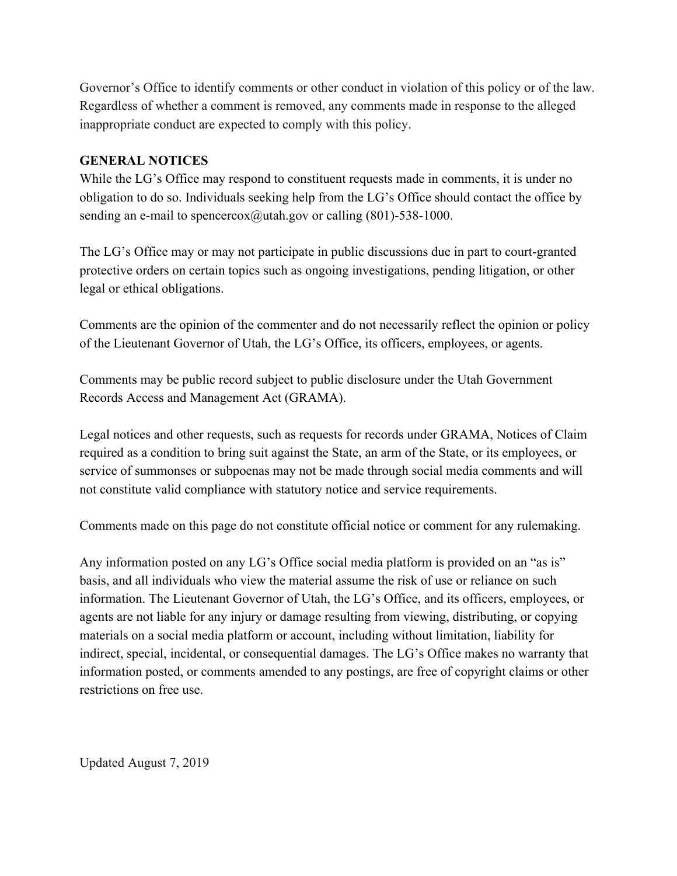Governor's Office to identify comments or other conduct in violation of this policy or of the law. Regardless of whether a comment is removed, any comments made in response to the alleged inappropriate conduct are expected to comply with this policy.

#### **GENERAL NOTICES**

While the LG's Office may respond to constituent requests made in comments, it is under no obligation to do so. Individuals seeking help from the LG's Office should contact the office by sending an e-mail to spencercox@utah.gov or calling  $(801)$ -538-1000.

The LG's Office may or may not participate in public discussions due in part to court-granted protective orders on certain topics such as ongoing investigations, pending litigation, or other legal or ethical obligations.

Comments are the opinion of the commenter and do not necessarily reflect the opinion or policy of the Lieutenant Governor of Utah, the LG's Office, its officers, employees, or agents.

Comments may be public record subject to public disclosure under the Utah Government Records Access and Management Act (GRAMA).

Legal notices and other requests, such as requests for records under GRAMA, Notices of Claim required as a condition to bring suit against the State, an arm of the State, or its employees, or service of summonses or subpoenas may not be made through social media comments and will not constitute valid compliance with statutory notice and service requirements.

Comments made on this page do not constitute official notice or comment for any rulemaking.

Any information posted on any LG's Office social media platform is provided on an "as is" basis, and all individuals who view the material assume the risk of use or reliance on such information. The Lieutenant Governor of Utah, the LG's Office, and its officers, employees, or agents are not liable for any injury or damage resulting from viewing, distributing, or copying materials on a social media platform or account, including without limitation, liability for indirect, special, incidental, or consequential damages. The LG's Office makes no warranty that information posted, or comments amended to any postings, are free of copyright claims or other restrictions on free use.

Updated August 7, 2019